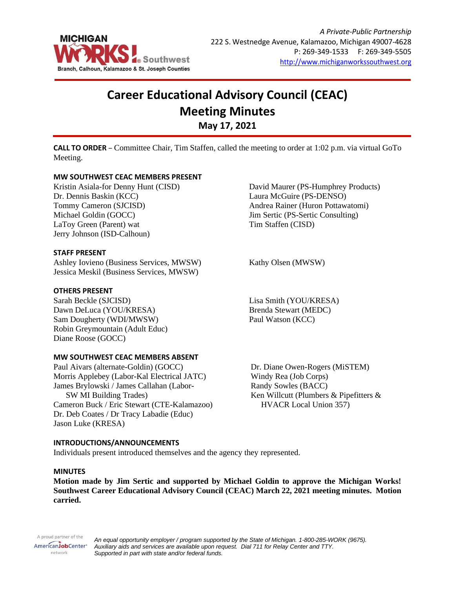

# **Career Educational Advisory Council (CEAC) Meeting Minutes May 17, 2021**

**CALL TO ORDER** – Committee Chair, Tim Staffen, called the meeting to order at 1:02 p.m. via virtual GoTo Meeting.

# **MW SOUTHWEST CEAC MEMBERS PRESENT**

Kristin Asiala-for Denny Hunt (CISD) Dr. Dennis Baskin (KCC) Tommy Cameron (SJCISD) Michael Goldin (GOCC) LaToy Green (Parent) wat Jerry Johnson (ISD-Calhoun)

#### **STAFF PRESENT**

Ashley Iovieno (Business Services, MWSW) Jessica Meskil (Business Services, MWSW)

#### **OTHERS PRESENT**

Sarah Beckle (SJCISD) Dawn DeLuca (YOU/KRESA) Sam Dougherty (WDI/MWSW) Robin Greymountain (Adult Educ) Diane Roose (GOCC)

#### **MW SOUTHWEST CEAC MEMBERS ABSENT**

Paul Aivars (alternate-Goldin) (GOCC) Morris Applebey (Labor-Kal Electrical JATC) James Brylowski / James Callahan (Labor- SW MI Building Trades) Cameron Buck / Eric Stewart (CTE-Kalamazoo) Dr. Deb Coates / Dr Tracy Labadie (Educ) Jason Luke (KRESA)

# **INTRODUCTIONS/ANNOUNCEMENTS**

Individuals present introduced themselves and the agency they represented.

#### **MINUTES**

**Motion made by Jim Sertic and supported by Michael Goldin to approve the Michigan Works! Southwest Career Educational Advisory Council (CEAC) March 22, 2021 meeting minutes. Motion carried.**

A proud partner of the AmericanJobCenter<sup>®</sup> network

*An equal opportunity employer / program supported by the State of Michigan. 1-800-285-WORK (9675). Auxiliary aids and services are available upon request. Dial 711 for Relay Center and TTY. Supported in part with state and/or federal funds.*

David Maurer (PS-Humphrey Products) Laura McGuire (PS-DENSO) Andrea Rainer (Huron Pottawatomi) Jim Sertic (PS-Sertic Consulting) Tim Staffen (CISD)

Kathy Olsen (MWSW)

Lisa Smith (YOU/KRESA) Brenda Stewart (MEDC) Paul Watson (KCC)

Dr. Diane Owen-Rogers (MiSTEM) Windy Rea (Job Corps) Randy Sowles (BACC) Ken Willcutt (Plumbers & Pipefitters & HVACR Local Union 357)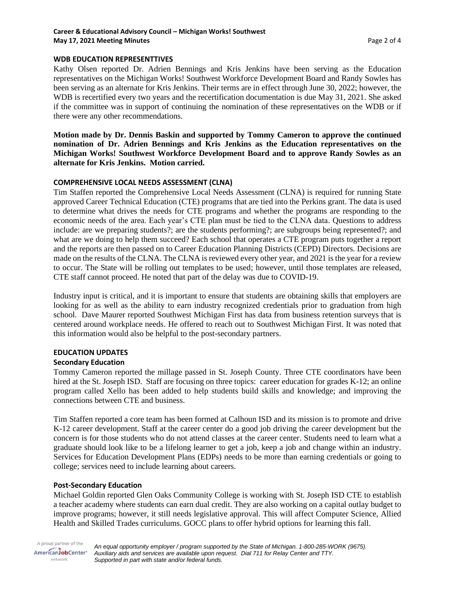#### **Career & Educational Advisory Council – Michigan Works! Southwest May 17, 2021 Meeting Minutes** Page 2 of 4

#### **WDB EDUCATION REPRESENTTIVES**

Kathy Olsen reported Dr. Adrien Bennings and Kris Jenkins have been serving as the Education representatives on the Michigan Works! Southwest Workforce Development Board and Randy Sowles has been serving as an alternate for Kris Jenkins. Their terms are in effect through June 30, 2022; however, the WDB is recertified every two years and the recertification documentation is due May 31, 2021. She asked if the committee was in support of continuing the nomination of these representatives on the WDB or if there were any other recommendations.

**Motion made by Dr. Dennis Baskin and supported by Tommy Cameron to approve the continued nomination of Dr. Adrien Bennings and Kris Jenkins as the Education representatives on the Michigan Works! Southwest Workforce Development Board and to approve Randy Sowles as an alternate for Kris Jenkins. Motion carried.**

# **COMPREHENSIVE LOCAL NEEDS ASSESSMENT (CLNA)**

Tim Staffen reported the Comprehensive Local Needs Assessment (CLNA) is required for running State approved Career Technical Education (CTE) programs that are tied into the Perkins grant. The data is used to determine what drives the needs for CTE programs and whether the programs are responding to the economic needs of the area. Each year's CTE plan must be tied to the CLNA data. Questions to address include: are we preparing students?; are the students performing?; are subgroups being represented?; and what are we doing to help them succeed? Each school that operates a CTE program puts together a report and the reports are then passed on to Career Education Planning Districts (CEPD) Directors. Decisions are made on the results of the CLNA. The CLNA is reviewed every other year, and 2021 is the year for a review to occur. The State will be rolling out templates to be used; however, until those templates are released, CTE staff cannot proceed. He noted that part of the delay was due to COVID-19.

Industry input is critical, and it is important to ensure that students are obtaining skills that employers are looking for as well as the ability to earn industry recognized credentials prior to graduation from high school. Dave Maurer reported Southwest Michigan First has data from business retention surveys that is centered around workplace needs. He offered to reach out to Southwest Michigan First. It was noted that this information would also be helpful to the post-secondary partners.

# **EDUCATION UPDATES**

#### **Secondary Education**

Tommy Cameron reported the millage passed in St. Joseph County. Three CTE coordinators have been hired at the St. Joseph ISD. Staff are focusing on three topics: career education for grades K-12; an online program called Xello has been added to help students build skills and knowledge; and improving the connections between CTE and business.

Tim Staffen reported a core team has been formed at Calhoun ISD and its mission is to promote and drive K-12 career development. Staff at the career center do a good job driving the career development but the concern is for those students who do not attend classes at the career center. Students need to learn what a graduate should look like to be a lifelong learner to get a job, keep a job and change within an industry. Services for Education Development Plans (EDPs) needs to be more than earning credentials or going to college; services need to include learning about careers.

#### **Post-Secondary Education**

Michael Goldin reported Glen Oaks Community College is working with St. Joseph ISD CTE to establish a teacher academy where students can earn dual credit. They are also working on a capital outlay budget to improve programs; however, it still needs legislative approval. This will affect Computer Science, Allied Health and Skilled Trades curriculums. GOCC plans to offer hybrid options for learning this fall.

A proud partner of the *An equal opportunity employer / program supported by the State of Michigan. 1-800-285-WORK (9675).* AmericanJobCenter<sup>®</sup> *Auxiliary aids and services are available upon request. Dial 711 for Relay Center and TTY.* network *Supported in part with state and/or federal funds.*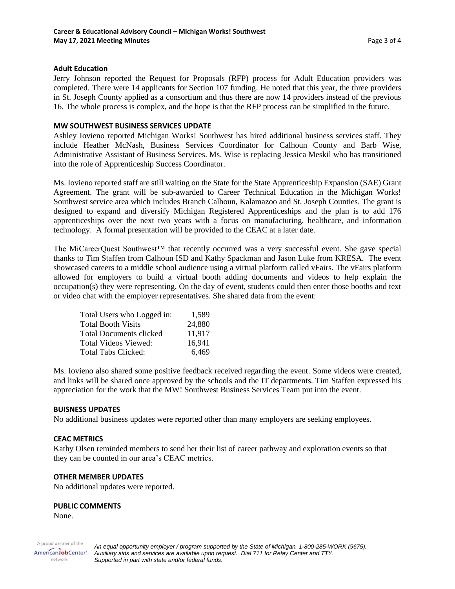#### **Adult Education**

Jerry Johnson reported the Request for Proposals (RFP) process for Adult Education providers was completed. There were 14 applicants for Section 107 funding. He noted that this year, the three providers in St. Joseph County applied as a consortium and thus there are now 14 providers instead of the previous 16. The whole process is complex, and the hope is that the RFP process can be simplified in the future.

#### **MW SOUTHWEST BUSINESS SERVICES UPDATE**

Ashley Iovieno reported Michigan Works! Southwest has hired additional business services staff. They include Heather McNash, Business Services Coordinator for Calhoun County and Barb Wise, Administrative Assistant of Business Services. Ms. Wise is replacing Jessica Meskil who has transitioned into the role of Apprenticeship Success Coordinator.

Ms. Iovieno reported staff are still waiting on the State for the State Apprenticeship Expansion (SAE) Grant Agreement. The grant will be sub-awarded to Career Technical Education in the Michigan Works! Southwest service area which includes Branch Calhoun, Kalamazoo and St. Joseph Counties. The grant is designed to expand and diversify Michigan Registered Apprenticeships and the plan is to add 176 apprenticeships over the next two years with a focus on manufacturing, healthcare, and information technology. A formal presentation will be provided to the CEAC at a later date.

The MiCareerQuest Southwest™ that recently occurred was a very successful event. She gave special thanks to Tim Staffen from Calhoun ISD and Kathy Spackman and Jason Luke from KRESA. The event showcased careers to a middle school audience using a virtual platform called vFairs. The vFairs platform allowed for employers to build a virtual booth adding documents and videos to help explain the occupation(s) they were representing. On the day of event, students could then enter those booths and text or video chat with the employer representatives. She shared data from the event:

| Total Users who Logged in: | 1.589  |
|----------------------------|--------|
| <b>Total Booth Visits</b>  | 24,880 |
| Total Documents clicked    | 11.917 |
| Total Videos Viewed:       | 16,941 |
| <b>Total Tabs Clicked:</b> | 6,469  |

Ms. Iovieno also shared some positive feedback received regarding the event. Some videos were created, and links will be shared once approved by the schools and the IT departments. Tim Staffen expressed his appreciation for the work that the MW! Southwest Business Services Team put into the event.

#### **BUISNESS UPDATES**

No additional business updates were reported other than many employers are seeking employees.

#### **CEAC METRICS**

Kathy Olsen reminded members to send her their list of career pathway and exploration events so that they can be counted in our area's CEAC metrics.

#### **OTHER MEMBER UPDATES**

No additional updates were reported.

# **PUBLIC COMMENTS**

None.

network

A proud partner of the *An equal opportunity employer / program supported by the State of Michigan. 1-800-285-WORK (9675).* AmericanJobCenter\* *Auxiliary aids and services are available upon request. Dial 711 for Relay Center and TTY. Supported in part with state and/or federal funds.*